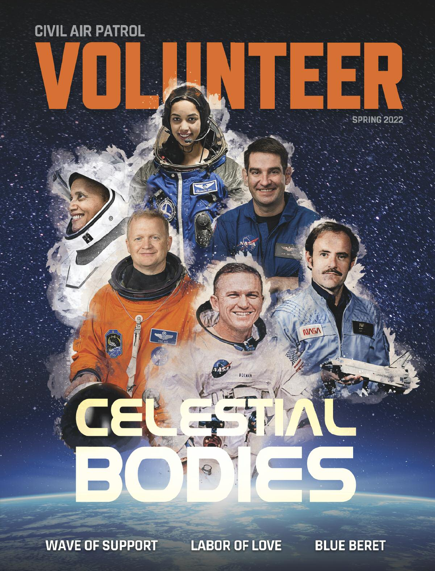**WAVE OF SUPPORT** 

**CIVIL AIR PATROL** 

**LABOR OF LOVE** 

**FORMA** 

**BLUE BERET** 

EE E

**NPAIA** 

SPRING 2022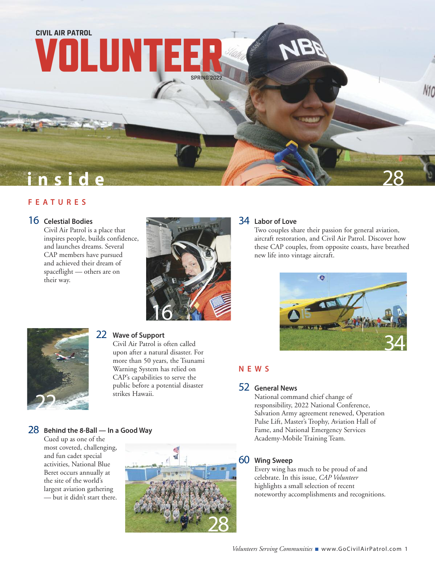

# **i n s i d e F E A T U R E S**

#### 16 **Celestial Bodies**

Civil Air Patrol is a place that inspires people, builds confidence, and launches dreams. Several CAP members have pursued and achieved their dream of spaceflight — others are on their way.



## 34 **Labor of Love**

Two couples share their passion for general aviation, aircraft restoration, and Civil Air Patrol. Discover how these CAP couples, from opposite coasts, have breathed new life into vintage aircraft.



# **N E W S**

# 52 **General News**

National command chief change of responsibility, 2022 National Conference, Salvation Army agreement renewed, Operation Pulse Lift, Master's Trophy, Aviation Hall of Fame, and National Emergency Services Academy-Mobile Training Team.

#### 60 **Wing Sweep**

Every wing has much to be proud of and celebrate. In this issue, *CAP Volunteer* highlights a small selection of recent noteworthy accomplishments and recognitions.

# 22

# 22 **Wave of Support**

Civil Air Patrol is often called upon after a natural disaster. For more than 50 years, the Tsunami Warning System has relied on CAP's capabilities to serve the public before a potential disaster strikes Hawaii.

# 28 **Behind the 8-Ball — In <sup>a</sup> Good Way**

Cued up as one of the most coveted, challenging, and fun cadet special activities, National Blue Beret occurs annually at the site of the world's largest aviation gathering — but it didn't start there.

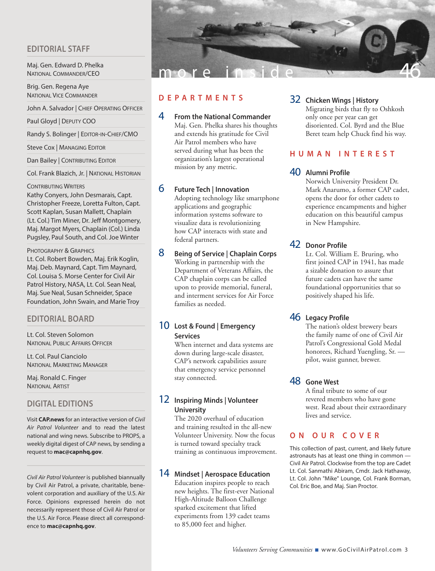### **EDITORIAL STAFF**

Maj. Gen. Edward D. Phelka NATIONAL COMMANDER/CEO

Brig. Gen. Regena Aye NATIONAL VICE COMMANDER

John A. Salvador | CHIEF OPERATING OFFICER

Paul Gloyd | DEPUTY COO

Randy S. Bolinger | EDITOR-IN-CHIEF/CMO

Steve Cox | MANAGING EDITOR

Dan Bailey | CONTRIBUTING EDITOR

Col. Frank Blazich, Jr. | NATIONAL HISTORIAN

#### CONTRIBUTING WRITERS

Kathy Conyers, John Desmarais, Capt. Christopher Freeze, Loretta Fulton, Capt. Scott Kaplan, Susan Mallett, Chaplain (Lt. Col.) Tim Miner, Dr. Jeff Montgomery, Maj. Margot Myers, Chaplain (Col.) Linda Pugsley, Paul South, and Col. Joe Winter

#### PHOTOGRAPHY & GRAPHICS

Lt. Col. Robert Bowden, Maj. Erik Koglin, Maj. Deb. Maynard, Capt. Tim Maynard, Col. Louisa S. Morse Center for Civil Air Patrol History, NASA, Lt. Col. Sean Neal, Maj. Sue Neal, Susan Schneider, Space Foundation, John Swain, and Marie Troy

#### **EDITORIAL BOARD**

Lt. Col. Steven Solomon NATIONAL PUBLIC AFFAIRS OFFICER

Lt. Col. Paul Cianciolo NATIONAL MARKETING MANAGER

Maj. Ronald C. Finger NATIONAL ARTIST

#### **DIGITAL EDITIONS**

Visit **CAP.news** for an interactive version of *Civil Air Patrol Volunteer* and to read the latest national and wing news. Subscribe to PROPS, a weekly digital digest of CAP news, by sending a request to **mac@capnhq.gov**.

*Civil Air Patrol Volunteer* is published biannually by Civil Air Patrol, a private, charitable, benevolent corporation and auxiliary of the U.S. Air Force. Opinions expressed herein do not necessarily represent those of Civil Air Patrol or the U.S. Air Force. Please direct all correspondence to **mac@capnhq.gov**.



# **D E P A R T M E N T S**

#### 4 **From the National Commander**

Maj. Gen. Phelka shares his thoughts and extends his gratitude for Civil Air Patrol members who have served during what has been the organization's largest operational mission by any metric.

#### 6 **Future Tech <sup>|</sup> Innovation**

Adopting technology like smartphone applications and geographic information systems software to visualize data is revolutionizing how CAP interacts with state and federal partners.

8 **Being of Service <sup>|</sup> Chaplain Corps** Working in partnership with the Department of Veterans Affairs, the CAP chaplain corps can be called upon to provide memorial, funeral, and interment services for Air Force families as needed.

# 10 **Lost & Found <sup>|</sup> Emergency Services**

When internet and data systems are down during large-scale disaster, CAP's network capabilities assure that emergency service personnel stay connected.

# 12 **Inspiring Minds <sup>|</sup> volunteer University**

The 2020 overhaul of education and training resulted in the all-new Volunteer University. Now the focus is turned toward specialty track training as continuous improvement.

# 14 **Mindset <sup>|</sup> Aerospace Education**

Education inspires people to reach new heights. The first-ever National High-Altitude Balloon Challenge sparked excitement that lifted experiments from 139 cadet teams to 85,000 feet and higher.

# 32 **Chicken Wings <sup>|</sup> History**

Migrating birds that fly to Oshkosh only once per year can get disoriented. Col. Byrd and the Blue Beret team help Chuck find his way.

# **H U M A N I N T E R E S T**

#### 40 **Alumni Profile**

Norwich University President Dr. Mark Anarumo, a former CAP cadet, opens the door for other cadets to experience encampments and higher education on this beautiful campus in New Hampshire.

# 42 **Donor Profile**

Lt. Col. William E. Bruring, who first joined CAP in 1941, has made a sizable donation to assure that future cadets can have the same foundational opportunities that so positively shaped his life.

# 46 **Legacy Profile**

The nation's oldest brewery bears the family name of one of Civil Air Patrol's Congressional Gold Medal honorees, Richard Yuengling, Sr. pilot, waist gunner, brewer.

# 48 **Gone West**

A final tribute to some of our revered members who have gone west. Read about their extraordinary lives and service.

# **O N O U R C O v E R**

This collection of past, current, and likely future astronauts has at least one thing in common — Civil Air Patrol. Clockwise from the top are Cadet Lt. Col. Sanmathi Abiram, Cmdr. Jack Hathaway, Lt. Col. John "Mike" Lounge, Col. Frank Borman, Col. Eric Boe, and Maj. Sian Proctor.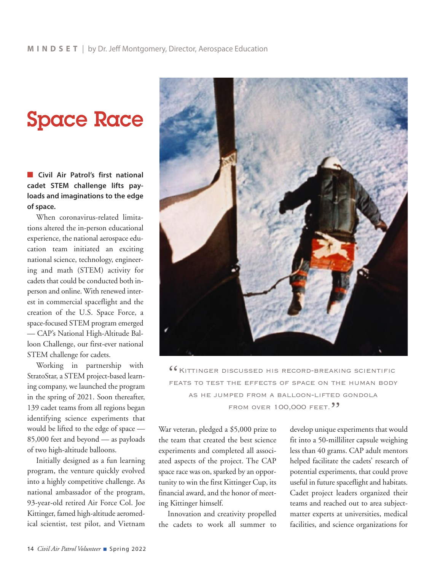# **Space Race**

n **Civil Air Patrol's first national cadet STEM challenge lifts payloads and imaginations to the edge of space.**

When coronavirus-related limitations altered the in-person educational experience, the national aerospace education team initiated an exciting national science, technology, engineering and math (STEM) activity for cadets that could be conducted both inperson and online. With renewed interest in commercial spaceflight and the creation of the U.S. Space Force, a space-focused STEM program emerged — CAP's National High-Altitude Balloon Challenge, our first-ever national STEM challenge for cadets.

Working in partnership with StratoStar, a STEM project-based learning company, we launched the program in the spring of 2021. Soon thereafter, 139 cadet teams from all regions began identifying science experiments that would be lifted to the edge of space — 85,000 feet and beyond — as payloads of two high-altitude balloons.

Initially designed as a fun learning program, the venture quickly evolved into a highly competitive challenge. As national ambassador of the program, 93-year-old retired Air Force Col. Joe Kittinger, famed high-altitude aeromedical scientist, test pilot, and Vietnam



**"KITTINGER DISCUSSED HIS RECORD-BREAKING SCIENTIFIC** feats to test the effects of space on the human body as he jumped from a balloon-lifted gondola FROM OVER 100,000 FEET. **33** 

War veteran, pledged a \$5,000 prize to the team that created the best science experiments and completed all associated aspects of the project. The CAP space race was on, sparked by an opportunity to win the first Kittinger Cup, its financial award, and the honor of meeting Kittinger himself.

Innovation and creativity propelled the cadets to work all summer to develop unique experiments that would fit into a 50-milliliter capsule weighing less than 40 grams. CAP adult mentors helped facilitate the cadets' research of potential experiments, that could prove useful in future spaceflight and habitats. Cadet project leaders organized their teams and reached out to area subjectmatter experts at universities, medical facilities, and science organizations for